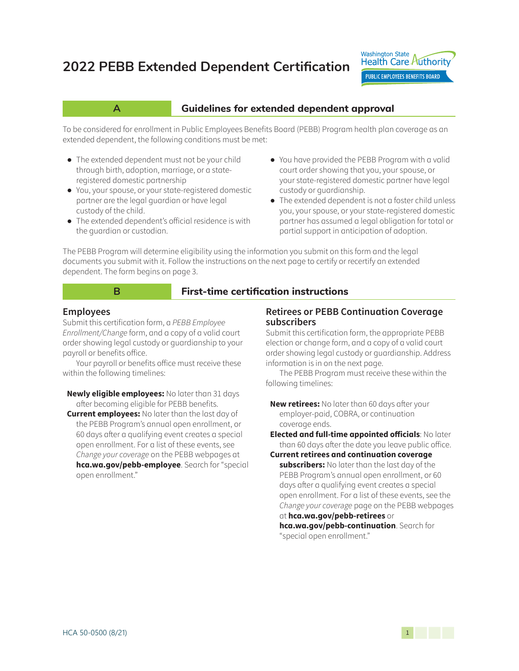# **2022 PEBB Extended Dependent Certification**



## **A A Guidelines for extended dependent approval**

To be considered for enrollment in Public Employees Benefits Board (PEBB) Program health plan coverage as an extended dependent, the following conditions must be met:

- **●** The extended dependent must not be your child through birth, adoption, marriage, or a stateregistered domestic partnership
- **●** You, your spouse, or your state-registered domestic partner are the legal guardian or have legal custody of the child.
- **●** The extended dependent's official residence is with the guardian or custodian.
- **●** You have provided the PEBB Program with a valid court order showing that you, your spouse, or your state-registered domestic partner have legal custody or guardianship.
- **●** The extended dependent is not a foster child unless you, your spouse, or your state-registered domestic partner has assumed a legal obligation for total or partial support in anticipation of adoption.

The PEBB Program will determine eligibility using the information you submit on this form and the legal documents you submit with it. Follow the instructions on the next page to certify or recertify an extended dependent. The form begins on page 3.

### **B B** First-time certification instructions

#### **Employees**

Submit this certification form, a PEBB Employee Enrollment/Change form, and a copy of a valid court order showing legal custody or guardianship to your payroll or benefits office.

Your payroll or benefits office must receive these within the following timelines:

**Newly eligible employees:** No later than 31 days after becoming eligible for PEBB benefits.

**Current employees:** No later than the last day of the PEBB Program's annual open enrollment, or 60 days after a qualifying event creates a special open enrollment. For a list of these events, see Change your coverage on the PEBB webpages at **hca.wa.gov/pebb-employee**. Search for "special open enrollment."

#### **Retirees or PEBB Continuation Coverage subscribers**

Submit this certification form, the appropriate PEBB election or change form, and a copy of a valid court order showing legal custody or guardianship. Address information is in on the next page.

The PEBB Program must receive these within the following timelines:

**New retirees:** No later than 60 days after your employer-paid, COBRA, or continuation coverage ends.

**Elected and full-time appointed officials**: No later than 60 days after the date you leave public office.

**Current retirees and continuation coverage subscribers:** No later than the last day of the PEBB Program's annual open enrollment, or 60 days after a qualifying event creates a special open enrollment. For a list of these events, see the Change your coverage page on the PEBB webpages at **hca.wa.gov/pebb-retirees** or

**[hca.wa.gov/pebb-continuation](http://hca.wa.gov/pebb-continuation)**. Search for "special open enrollment."

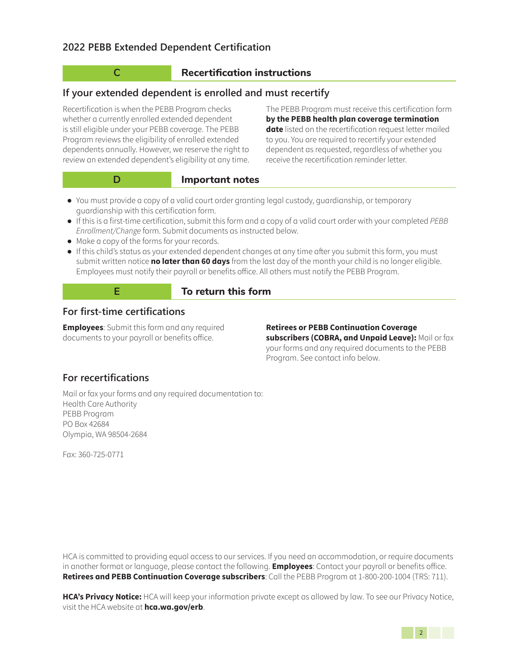# **C Recertification instructions**

# **If your extended dependent is enrolled and must recertify**

Recertification is when the PEBB Program checks whether a currently enrolled extended dependent is still eligible under your PEBB coverage. The PEBB Program reviews the eligibility of enrolled extended dependents annually. However, we reserve the right to review an extended dependent's eligibility at any time.

The PEBB Program must receive this certification form **by the PEBB health plan coverage termination date** listed on the recertification request letter mailed to you. You are required to recertify your extended dependent as requested, regardless of whether you receive the recertification reminder letter.

**Important notes** 

- **●** You must provide a copy of a valid court order granting legal custody, guardianship, or temporary guardianship with this certification form.
- **●** If this is a first-time certification, submit this form and a copy of a valid court order with your completed *PEBB*  Enrollment/Change form. Submit documents as instructed below.
- **●** Make a copy of the forms for your records.
- **●** If this child's status as your extended dependent changes at any time after you submit this form, you must submit written notice **no later than 60 days** from the last day of the month your child is no longer eligible. Employees must notify their payroll or benefits office. All others must notify the PEBB Program.



#### **E To return this form**

# **For first-time certifications**

**Employees**: Submit this form and any required documents to your payroll or benefits office.

**Retirees or PEBB Continuation Coverage subscribers (COBRA, and Unpaid Leave):** Mail or fax your forms and any required documents to the PEBB Program. See contact info below.

# **For recertifications**

Mail or fax your forms and any required documentation to: Health Care Authority PEBB Program PO Box 42684 Olympia, WA 98504-2684

Fax: 360-725-0771

HCA is committed to providing equal access to our services. If you need an accommodation, or require documents in another format or language, please contact the following. **Employees**: Contact your payroll or benefits office. **Retirees and PEBB Continuation Coverage subscribers**: Call the PEBB Program at 1-800-200-1004 (TRS: 711).

**HCA's Privacy Notice:** HCA will keep your information private except as allowed by law. To see our Privacy Notice, visit the HCA website at **hca.wa.gov/erb**.

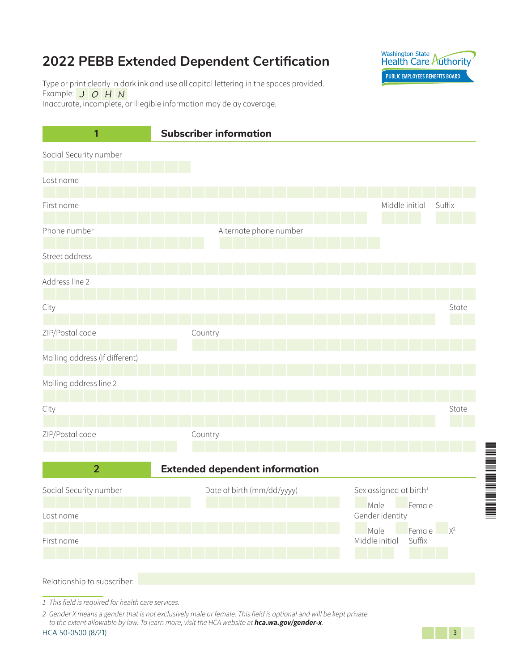# **2022 PEBB Extended Dependent Certification**



Type or print clearly in dark ink and use all capital lettering in the spaces provided. Example: **J** O H N Inaccurate, incomplete, or illegible information may delay coverage.



1 This field is required for health care services.

2 Gender X means a gender that is not exclusively male or female. This field is optional and will be kept private to the extent allowable by law. To learn more, visit the HCA website at **hca.wa.gov/gender-x**.